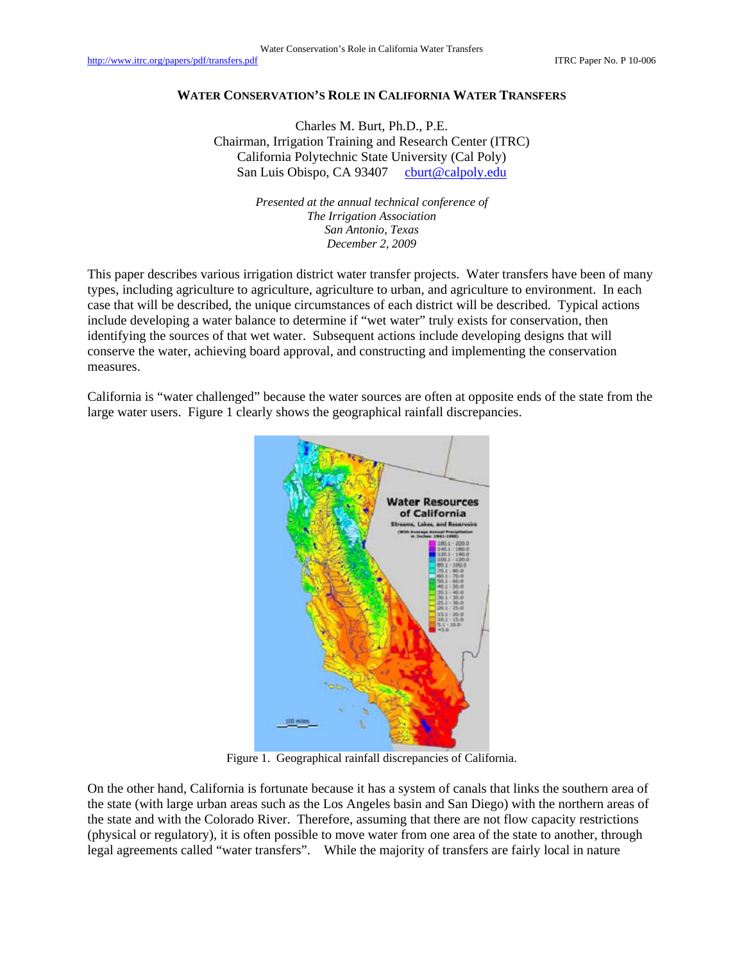## **WATER CONSERVATION'S ROLE IN CALIFORNIA WATER TRANSFERS**

Charles M. Burt, Ph.D., P.E. Chairman, Irrigation Training and Research Center (ITRC) California Polytechnic State University (Cal Poly) San Luis Obispo, CA 93407 cburt@calpoly.edu

> *Presented at the annual technical conference of The Irrigation Association San Antonio, Texas December 2, 2009*

This paper describes various irrigation district water transfer projects. Water transfers have been of many types, including agriculture to agriculture, agriculture to urban, and agriculture to environment. In each case that will be described, the unique circumstances of each district will be described. Typical actions include developing a water balance to determine if "wet water" truly exists for conservation, then identifying the sources of that wet water. Subsequent actions include developing designs that will conserve the water, achieving board approval, and constructing and implementing the conservation measures.

California is "water challenged" because the water sources are often at opposite ends of the state from the large water users. Figure 1 clearly shows the geographical rainfall discrepancies.



Figure 1. Geographical rainfall discrepancies of California.

On the other hand, California is fortunate because it has a system of canals that links the southern area of the state (with large urban areas such as the Los Angeles basin and San Diego) with the northern areas of the state and with the Colorado River. Therefore, assuming that there are not flow capacity restrictions (physical or regulatory), it is often possible to move water from one area of the state to another, through legal agreements called "water transfers". While the majority of transfers are fairly local in nature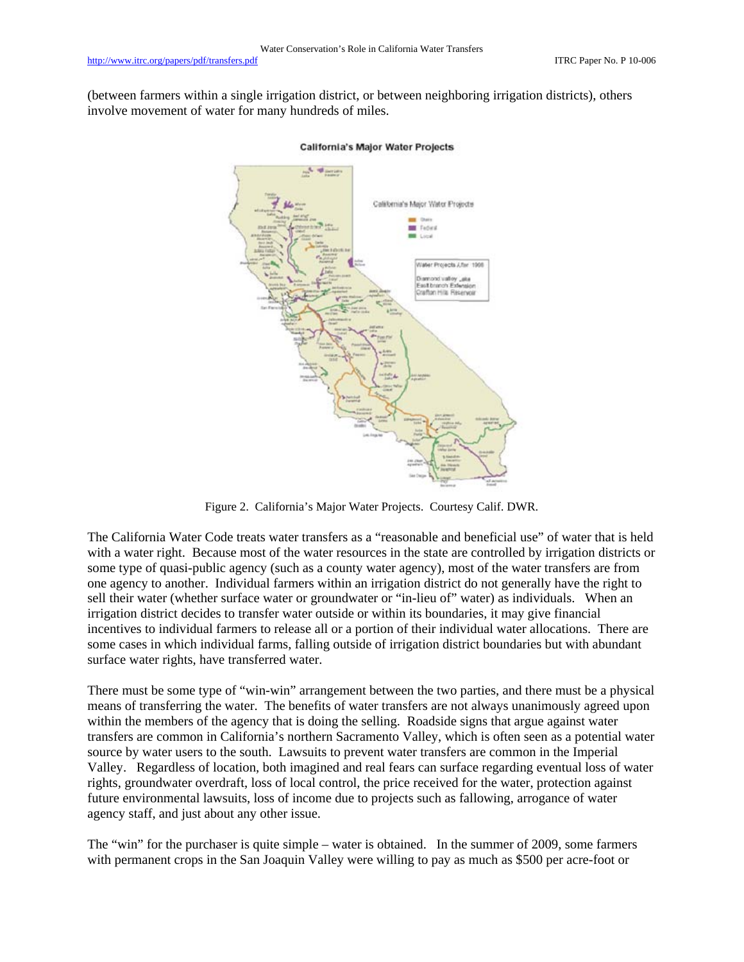(between farmers within a single irrigation district, or between neighboring irrigation districts), others involve movement of water for many hundreds of miles.



**California's Major Water Projects** 

Figure 2. California's Major Water Projects. Courtesy Calif. DWR.

The California Water Code treats water transfers as a "reasonable and beneficial use" of water that is held with a water right. Because most of the water resources in the state are controlled by irrigation districts or some type of quasi-public agency (such as a county water agency), most of the water transfers are from one agency to another. Individual farmers within an irrigation district do not generally have the right to sell their water (whether surface water or groundwater or "in-lieu of" water) as individuals. When an irrigation district decides to transfer water outside or within its boundaries, it may give financial incentives to individual farmers to release all or a portion of their individual water allocations. There are some cases in which individual farms, falling outside of irrigation district boundaries but with abundant surface water rights, have transferred water.

There must be some type of "win-win" arrangement between the two parties, and there must be a physical means of transferring the water. The benefits of water transfers are not always unanimously agreed upon within the members of the agency that is doing the selling. Roadside signs that argue against water transfers are common in California's northern Sacramento Valley, which is often seen as a potential water source by water users to the south. Lawsuits to prevent water transfers are common in the Imperial Valley. Regardless of location, both imagined and real fears can surface regarding eventual loss of water rights, groundwater overdraft, loss of local control, the price received for the water, protection against future environmental lawsuits, loss of income due to projects such as fallowing, arrogance of water agency staff, and just about any other issue.

The "win" for the purchaser is quite simple – water is obtained. In the summer of 2009, some farmers with permanent crops in the San Joaquin Valley were willing to pay as much as \$500 per acre-foot or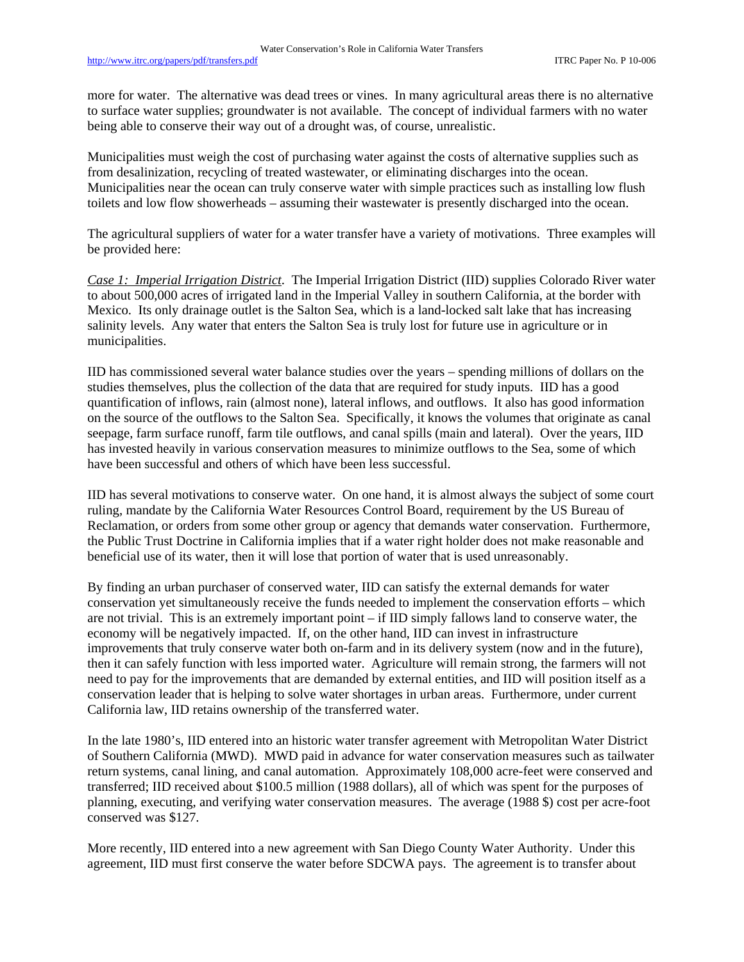more for water. The alternative was dead trees or vines. In many agricultural areas there is no alternative to surface water supplies; groundwater is not available. The concept of individual farmers with no water being able to conserve their way out of a drought was, of course, unrealistic.

Municipalities must weigh the cost of purchasing water against the costs of alternative supplies such as from desalinization, recycling of treated wastewater, or eliminating discharges into the ocean. Municipalities near the ocean can truly conserve water with simple practices such as installing low flush toilets and low flow showerheads – assuming their wastewater is presently discharged into the ocean.

The agricultural suppliers of water for a water transfer have a variety of motivations. Three examples will be provided here:

*Case 1: Imperial Irrigation District*. The Imperial Irrigation District (IID) supplies Colorado River water to about 500,000 acres of irrigated land in the Imperial Valley in southern California, at the border with Mexico. Its only drainage outlet is the Salton Sea, which is a land-locked salt lake that has increasing salinity levels. Any water that enters the Salton Sea is truly lost for future use in agriculture or in municipalities.

IID has commissioned several water balance studies over the years – spending millions of dollars on the studies themselves, plus the collection of the data that are required for study inputs. IID has a good quantification of inflows, rain (almost none), lateral inflows, and outflows. It also has good information on the source of the outflows to the Salton Sea. Specifically, it knows the volumes that originate as canal seepage, farm surface runoff, farm tile outflows, and canal spills (main and lateral). Over the years, IID has invested heavily in various conservation measures to minimize outflows to the Sea, some of which have been successful and others of which have been less successful.

IID has several motivations to conserve water. On one hand, it is almost always the subject of some court ruling, mandate by the California Water Resources Control Board, requirement by the US Bureau of Reclamation, or orders from some other group or agency that demands water conservation. Furthermore, the Public Trust Doctrine in California implies that if a water right holder does not make reasonable and beneficial use of its water, then it will lose that portion of water that is used unreasonably.

By finding an urban purchaser of conserved water, IID can satisfy the external demands for water conservation yet simultaneously receive the funds needed to implement the conservation efforts – which are not trivial. This is an extremely important point – if IID simply fallows land to conserve water, the economy will be negatively impacted. If, on the other hand, IID can invest in infrastructure improvements that truly conserve water both on-farm and in its delivery system (now and in the future), then it can safely function with less imported water. Agriculture will remain strong, the farmers will not need to pay for the improvements that are demanded by external entities, and IID will position itself as a conservation leader that is helping to solve water shortages in urban areas. Furthermore, under current California law, IID retains ownership of the transferred water.

In the late 1980's, IID entered into an historic water transfer agreement with Metropolitan Water District of Southern California (MWD). MWD paid in advance for water conservation measures such as tailwater return systems, canal lining, and canal automation. Approximately 108,000 acre-feet were conserved and transferred; IID received about \$100.5 million (1988 dollars), all of which was spent for the purposes of planning, executing, and verifying water conservation measures. The average (1988 \$) cost per acre-foot conserved was \$127.

More recently, IID entered into a new agreement with San Diego County Water Authority. Under this agreement, IID must first conserve the water before SDCWA pays. The agreement is to transfer about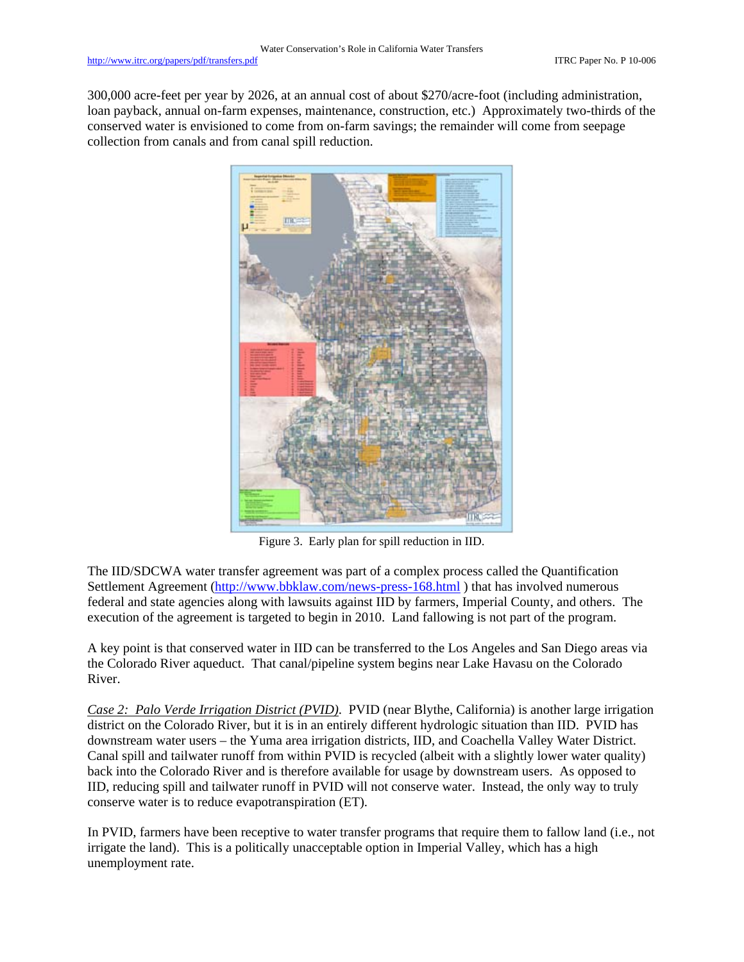300,000 acre-feet per year by 2026, at an annual cost of about \$270/acre-foot (including administration, loan payback, annual on-farm expenses, maintenance, construction, etc.) Approximately two-thirds of the conserved water is envisioned to come from on-farm savings; the remainder will come from seepage collection from canals and from canal spill reduction.



Figure 3. Early plan for spill reduction in IID.

The IID/SDCWA water transfer agreement was part of a complex process called the Quantification Settlement Agreement (http://www.bbklaw.com/news-press-168.html ) that has involved numerous federal and state agencies along with lawsuits against IID by farmers, Imperial County, and others. The execution of the agreement is targeted to begin in 2010. Land fallowing is not part of the program.

A key point is that conserved water in IID can be transferred to the Los Angeles and San Diego areas via the Colorado River aqueduct. That canal/pipeline system begins near Lake Havasu on the Colorado River.

*Case 2: Palo Verde Irrigation District (PVID)*. PVID (near Blythe, California) is another large irrigation district on the Colorado River, but it is in an entirely different hydrologic situation than IID. PVID has downstream water users – the Yuma area irrigation districts, IID, and Coachella Valley Water District. Canal spill and tailwater runoff from within PVID is recycled (albeit with a slightly lower water quality) back into the Colorado River and is therefore available for usage by downstream users. As opposed to IID, reducing spill and tailwater runoff in PVID will not conserve water. Instead, the only way to truly conserve water is to reduce evapotranspiration (ET).

In PVID, farmers have been receptive to water transfer programs that require them to fallow land (i.e., not irrigate the land). This is a politically unacceptable option in Imperial Valley, which has a high unemployment rate.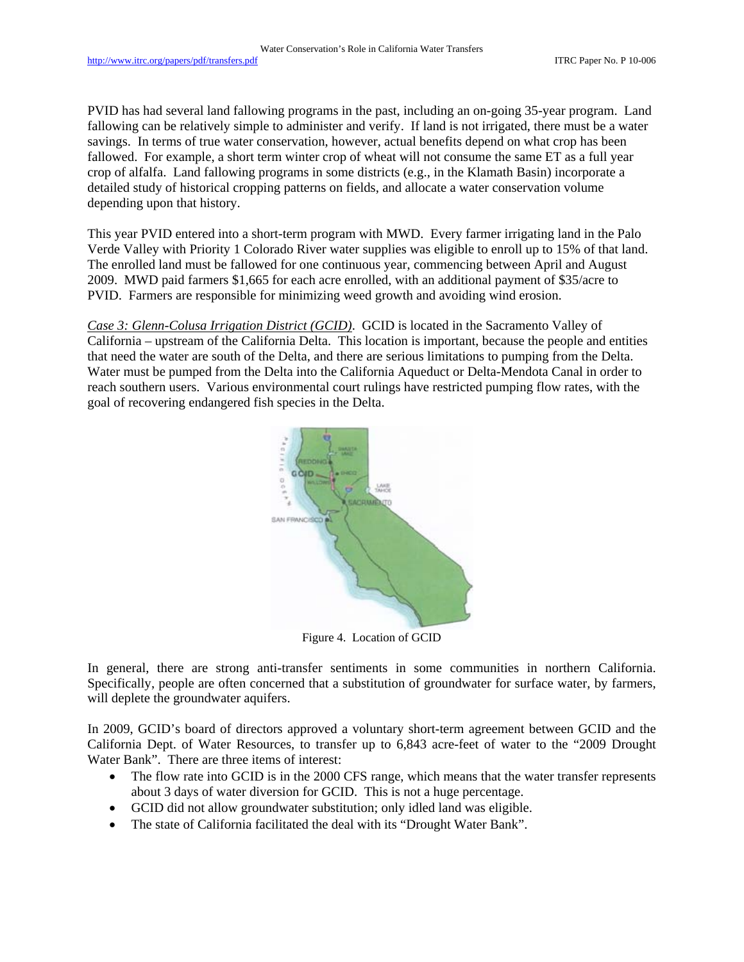PVID has had several land fallowing programs in the past, including an on-going 35-year program. Land fallowing can be relatively simple to administer and verify. If land is not irrigated, there must be a water savings. In terms of true water conservation, however, actual benefits depend on what crop has been fallowed. For example, a short term winter crop of wheat will not consume the same ET as a full year crop of alfalfa. Land fallowing programs in some districts (e.g., in the Klamath Basin) incorporate a detailed study of historical cropping patterns on fields, and allocate a water conservation volume depending upon that history.

This year PVID entered into a short-term program with MWD. Every farmer irrigating land in the Palo Verde Valley with Priority 1 Colorado River water supplies was eligible to enroll up to 15% of that land. The enrolled land must be fallowed for one continuous year, commencing between April and August 2009. MWD paid farmers \$1,665 for each acre enrolled, with an additional payment of \$35/acre to PVID. Farmers are responsible for minimizing weed growth and avoiding wind erosion.

*Case 3: Glenn-Colusa Irrigation District (GCID)*. GCID is located in the Sacramento Valley of California – upstream of the California Delta. This location is important, because the people and entities that need the water are south of the Delta, and there are serious limitations to pumping from the Delta. Water must be pumped from the Delta into the California Aqueduct or Delta-Mendota Canal in order to reach southern users. Various environmental court rulings have restricted pumping flow rates, with the goal of recovering endangered fish species in the Delta.



Figure 4. Location of GCID

In general, there are strong anti-transfer sentiments in some communities in northern California. Specifically, people are often concerned that a substitution of groundwater for surface water, by farmers, will deplete the groundwater aquifers.

In 2009, GCID's board of directors approved a voluntary short-term agreement between GCID and the California Dept. of Water Resources, to transfer up to 6,843 acre-feet of water to the "2009 Drought Water Bank". There are three items of interest:

- The flow rate into GCID is in the 2000 CFS range, which means that the water transfer represents about 3 days of water diversion for GCID. This is not a huge percentage.
- GCID did not allow groundwater substitution; only idled land was eligible.
- The state of California facilitated the deal with its "Drought Water Bank".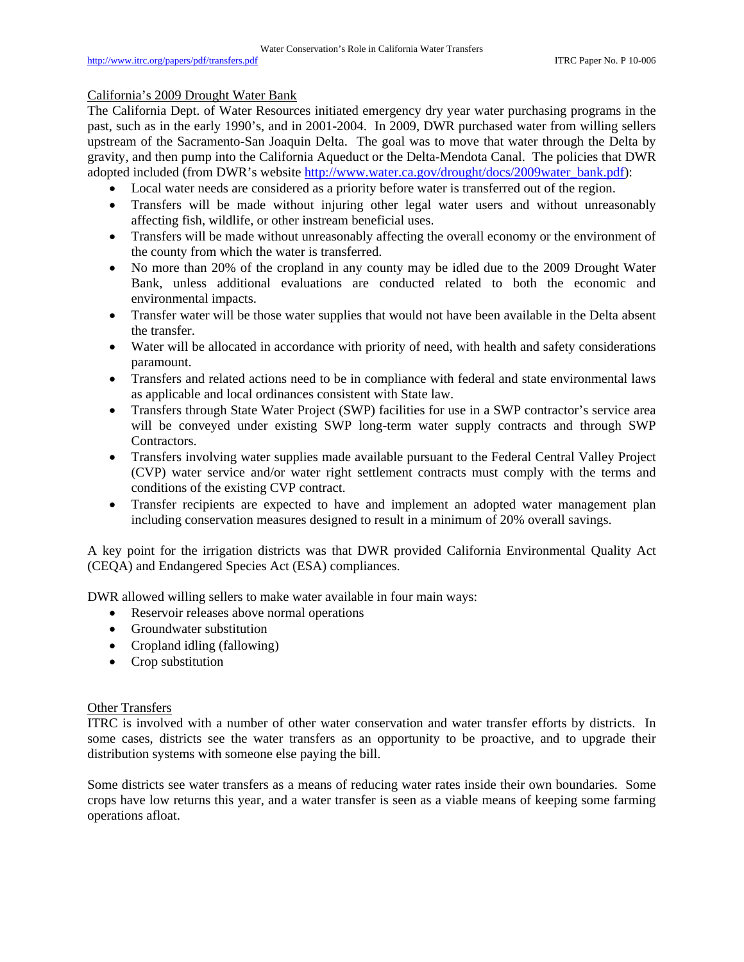## California's 2009 Drought Water Bank

The California Dept. of Water Resources initiated emergency dry year water purchasing programs in the past, such as in the early 1990's, and in 2001-2004. In 2009, DWR purchased water from willing sellers upstream of the Sacramento-San Joaquin Delta. The goal was to move that water through the Delta by gravity, and then pump into the California Aqueduct or the Delta-Mendota Canal. The policies that DWR adopted included (from DWR's website http://www.water.ca.gov/drought/docs/2009water\_bank.pdf):

- Local water needs are considered as a priority before water is transferred out of the region.
- Transfers will be made without injuring other legal water users and without unreasonably affecting fish, wildlife, or other instream beneficial uses.
- Transfers will be made without unreasonably affecting the overall economy or the environment of the county from which the water is transferred.
- No more than 20% of the cropland in any county may be idled due to the 2009 Drought Water Bank, unless additional evaluations are conducted related to both the economic and environmental impacts.
- Transfer water will be those water supplies that would not have been available in the Delta absent the transfer.
- Water will be allocated in accordance with priority of need, with health and safety considerations paramount.
- Transfers and related actions need to be in compliance with federal and state environmental laws as applicable and local ordinances consistent with State law.
- Transfers through State Water Project (SWP) facilities for use in a SWP contractor's service area will be conveyed under existing SWP long-term water supply contracts and through SWP Contractors.
- Transfers involving water supplies made available pursuant to the Federal Central Valley Project (CVP) water service and/or water right settlement contracts must comply with the terms and conditions of the existing CVP contract.
- Transfer recipients are expected to have and implement an adopted water management plan including conservation measures designed to result in a minimum of 20% overall savings.

A key point for the irrigation districts was that DWR provided California Environmental Quality Act (CEQA) and Endangered Species Act (ESA) compliances.

DWR allowed willing sellers to make water available in four main ways:

- Reservoir releases above normal operations
- Groundwater substitution
- Cropland idling (fallowing)
- Crop substitution

## Other Transfers

ITRC is involved with a number of other water conservation and water transfer efforts by districts. In some cases, districts see the water transfers as an opportunity to be proactive, and to upgrade their distribution systems with someone else paying the bill.

Some districts see water transfers as a means of reducing water rates inside their own boundaries. Some crops have low returns this year, and a water transfer is seen as a viable means of keeping some farming operations afloat.